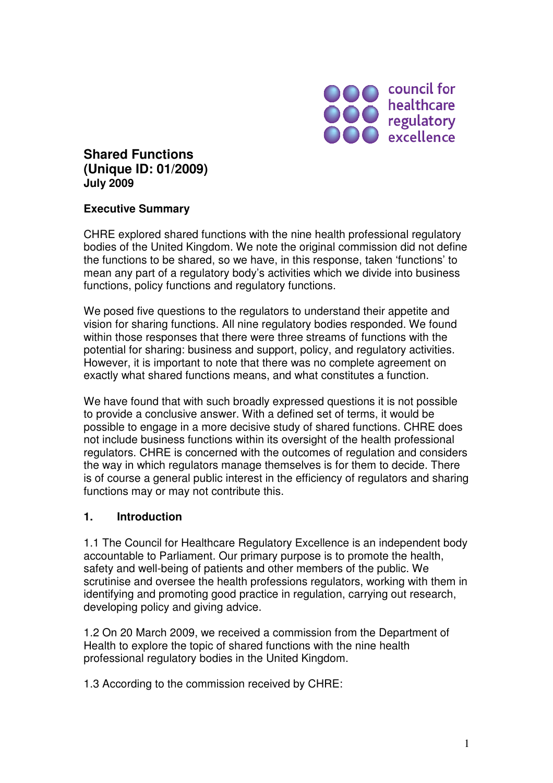

# **Shared Functions (Unique ID: 01/2009) July 2009**

#### **Executive Summary**

CHRE explored shared functions with the nine health professional regulatory bodies of the United Kingdom. We note the original commission did not define the functions to be shared, so we have, in this response, taken 'functions' to mean any part of a regulatory body's activities which we divide into business functions, policy functions and regulatory functions.

We posed five questions to the regulators to understand their appetite and vision for sharing functions. All nine regulatory bodies responded. We found within those responses that there were three streams of functions with the potential for sharing: business and support, policy, and regulatory activities. However, it is important to note that there was no complete agreement on exactly what shared functions means, and what constitutes a function.

We have found that with such broadly expressed questions it is not possible to provide a conclusive answer. With a defined set of terms, it would be possible to engage in a more decisive study of shared functions. CHRE does not include business functions within its oversight of the health professional regulators. CHRE is concerned with the outcomes of regulation and considers the way in which regulators manage themselves is for them to decide. There is of course a general public interest in the efficiency of regulators and sharing functions may or may not contribute this.

#### **1. Introduction**

1.1 The Council for Healthcare Regulatory Excellence is an independent body accountable to Parliament. Our primary purpose is to promote the health, safety and well-being of patients and other members of the public. We scrutinise and oversee the health professions regulators, working with them in identifying and promoting good practice in regulation, carrying out research, developing policy and giving advice.

1.2 On 20 March 2009, we received a commission from the Department of Health to explore the topic of shared functions with the nine health professional regulatory bodies in the United Kingdom.

1.3 According to the commission received by CHRE: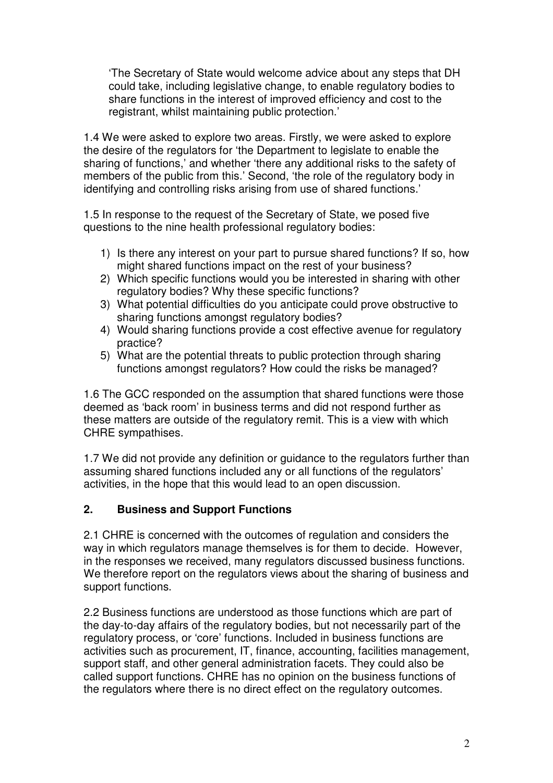'The Secretary of State would welcome advice about any steps that DH could take, including legislative change, to enable regulatory bodies to share functions in the interest of improved efficiency and cost to the registrant, whilst maintaining public protection.'

1.4 We were asked to explore two areas. Firstly, we were asked to explore the desire of the regulators for 'the Department to legislate to enable the sharing of functions,' and whether 'there any additional risks to the safety of members of the public from this.' Second, 'the role of the regulatory body in identifying and controlling risks arising from use of shared functions.'

1.5 In response to the request of the Secretary of State, we posed five questions to the nine health professional regulatory bodies:

- 1) Is there any interest on your part to pursue shared functions? If so, how might shared functions impact on the rest of your business?
- 2) Which specific functions would you be interested in sharing with other regulatory bodies? Why these specific functions?
- 3) What potential difficulties do you anticipate could prove obstructive to sharing functions amongst regulatory bodies?
- 4) Would sharing functions provide a cost effective avenue for regulatory practice?
- 5) What are the potential threats to public protection through sharing functions amongst regulators? How could the risks be managed?

1.6 The GCC responded on the assumption that shared functions were those deemed as 'back room' in business terms and did not respond further as these matters are outside of the regulatory remit. This is a view with which CHRE sympathises.

1.7 We did not provide any definition or guidance to the regulators further than assuming shared functions included any or all functions of the regulators' activities, in the hope that this would lead to an open discussion.

#### **2. Business and Support Functions**

2.1 CHRE is concerned with the outcomes of regulation and considers the way in which regulators manage themselves is for them to decide. However, in the responses we received, many regulators discussed business functions. We therefore report on the regulators views about the sharing of business and support functions.

2.2 Business functions are understood as those functions which are part of the day-to-day affairs of the regulatory bodies, but not necessarily part of the regulatory process, or 'core' functions. Included in business functions are activities such as procurement, IT, finance, accounting, facilities management, support staff, and other general administration facets. They could also be called support functions. CHRE has no opinion on the business functions of the regulators where there is no direct effect on the regulatory outcomes.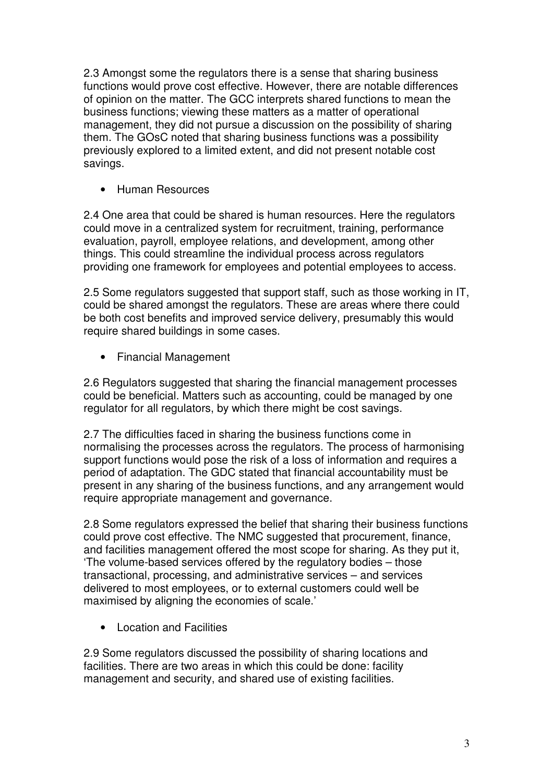2.3 Amongst some the regulators there is a sense that sharing business functions would prove cost effective. However, there are notable differences of opinion on the matter. The GCC interprets shared functions to mean the business functions; viewing these matters as a matter of operational management, they did not pursue a discussion on the possibility of sharing them. The GOsC noted that sharing business functions was a possibility previously explored to a limited extent, and did not present notable cost savings.

• Human Resources

2.4 One area that could be shared is human resources. Here the regulators could move in a centralized system for recruitment, training, performance evaluation, payroll, employee relations, and development, among other things. This could streamline the individual process across regulators providing one framework for employees and potential employees to access.

2.5 Some regulators suggested that support staff, such as those working in IT, could be shared amongst the regulators. These are areas where there could be both cost benefits and improved service delivery, presumably this would require shared buildings in some cases.

• Financial Management

2.6 Regulators suggested that sharing the financial management processes could be beneficial. Matters such as accounting, could be managed by one regulator for all regulators, by which there might be cost savings.

2.7 The difficulties faced in sharing the business functions come in normalising the processes across the regulators. The process of harmonising support functions would pose the risk of a loss of information and requires a period of adaptation. The GDC stated that financial accountability must be present in any sharing of the business functions, and any arrangement would require appropriate management and governance.

2.8 Some regulators expressed the belief that sharing their business functions could prove cost effective. The NMC suggested that procurement, finance, and facilities management offered the most scope for sharing. As they put it, 'The volume-based services offered by the regulatory bodies – those transactional, processing, and administrative services – and services delivered to most employees, or to external customers could well be maximised by aligning the economies of scale.'

• Location and Facilities

2.9 Some regulators discussed the possibility of sharing locations and facilities. There are two areas in which this could be done: facility management and security, and shared use of existing facilities.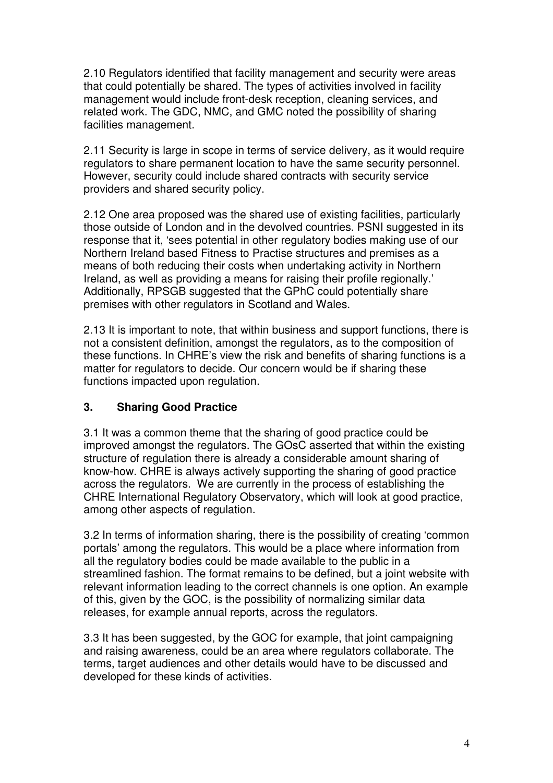2.10 Regulators identified that facility management and security were areas that could potentially be shared. The types of activities involved in facility management would include front-desk reception, cleaning services, and related work. The GDC, NMC, and GMC noted the possibility of sharing facilities management.

2.11 Security is large in scope in terms of service delivery, as it would require regulators to share permanent location to have the same security personnel. However, security could include shared contracts with security service providers and shared security policy.

2.12 One area proposed was the shared use of existing facilities, particularly those outside of London and in the devolved countries. PSNI suggested in its response that it, 'sees potential in other regulatory bodies making use of our Northern Ireland based Fitness to Practise structures and premises as a means of both reducing their costs when undertaking activity in Northern Ireland, as well as providing a means for raising their profile regionally.' Additionally, RPSGB suggested that the GPhC could potentially share premises with other regulators in Scotland and Wales.

2.13 It is important to note, that within business and support functions, there is not a consistent definition, amongst the regulators, as to the composition of these functions. In CHRE's view the risk and benefits of sharing functions is a matter for regulators to decide. Our concern would be if sharing these functions impacted upon regulation.

## **3. Sharing Good Practice**

3.1 It was a common theme that the sharing of good practice could be improved amongst the regulators. The GOsC asserted that within the existing structure of regulation there is already a considerable amount sharing of know-how. CHRE is always actively supporting the sharing of good practice across the regulators. We are currently in the process of establishing the CHRE International Regulatory Observatory, which will look at good practice, among other aspects of regulation.

3.2 In terms of information sharing, there is the possibility of creating 'common portals' among the regulators. This would be a place where information from all the regulatory bodies could be made available to the public in a streamlined fashion. The format remains to be defined, but a joint website with relevant information leading to the correct channels is one option. An example of this, given by the GOC, is the possibility of normalizing similar data releases, for example annual reports, across the regulators.

3.3 It has been suggested, by the GOC for example, that joint campaigning and raising awareness, could be an area where regulators collaborate. The terms, target audiences and other details would have to be discussed and developed for these kinds of activities.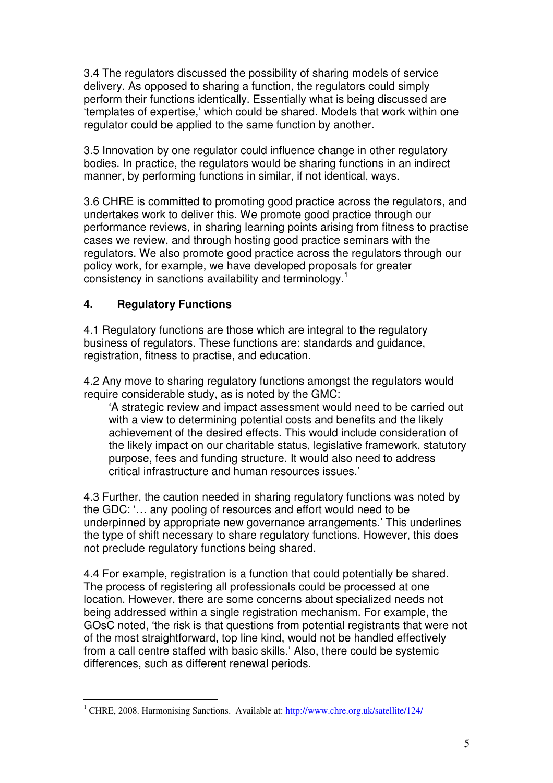3.4 The regulators discussed the possibility of sharing models of service delivery. As opposed to sharing a function, the regulators could simply perform their functions identically. Essentially what is being discussed are 'templates of expertise,' which could be shared. Models that work within one regulator could be applied to the same function by another.

3.5 Innovation by one regulator could influence change in other regulatory bodies. In practice, the regulators would be sharing functions in an indirect manner, by performing functions in similar, if not identical, ways.

3.6 CHRE is committed to promoting good practice across the regulators, and undertakes work to deliver this. We promote good practice through our performance reviews, in sharing learning points arising from fitness to practise cases we review, and through hosting good practice seminars with the regulators. We also promote good practice across the regulators through our policy work, for example, we have developed proposals for greater consistency in sanctions availability and terminology.<sup>1</sup>

### **4. Regulatory Functions**

4.1 Regulatory functions are those which are integral to the regulatory business of regulators. These functions are: standards and guidance, registration, fitness to practise, and education.

4.2 Any move to sharing regulatory functions amongst the regulators would require considerable study, as is noted by the GMC:

'A strategic review and impact assessment would need to be carried out with a view to determining potential costs and benefits and the likely achievement of the desired effects. This would include consideration of the likely impact on our charitable status, legislative framework, statutory purpose, fees and funding structure. It would also need to address critical infrastructure and human resources issues.'

4.3 Further, the caution needed in sharing regulatory functions was noted by the GDC: '… any pooling of resources and effort would need to be underpinned by appropriate new governance arrangements.' This underlines the type of shift necessary to share regulatory functions. However, this does not preclude regulatory functions being shared.

4.4 For example, registration is a function that could potentially be shared. The process of registering all professionals could be processed at one location. However, there are some concerns about specialized needs not being addressed within a single registration mechanism. For example, the GOsC noted, 'the risk is that questions from potential registrants that were not of the most straightforward, top line kind, would not be handled effectively from a call centre staffed with basic skills.' Also, there could be systemic differences, such as different renewal periods.

 $\overline{a}$ <sup>1</sup> CHRE, 2008. Harmonising Sanctions. Available at: http://www.chre.org.uk/satellite/124/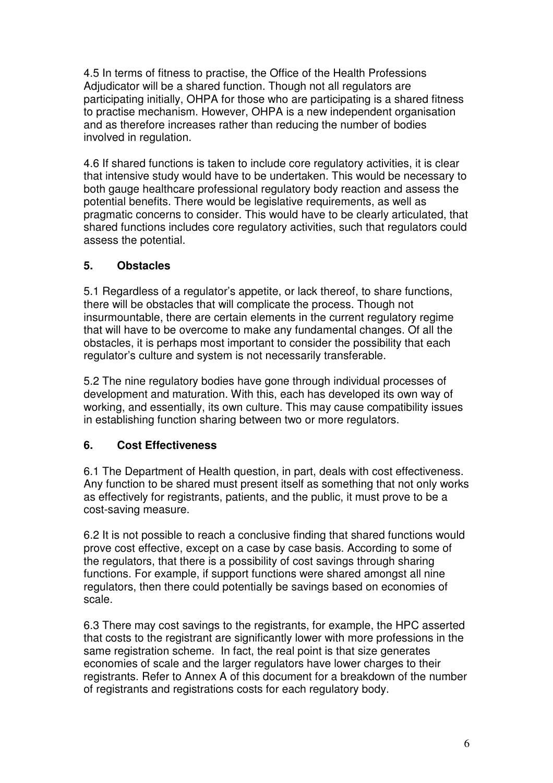4.5 In terms of fitness to practise, the Office of the Health Professions Adjudicator will be a shared function. Though not all regulators are participating initially, OHPA for those who are participating is a shared fitness to practise mechanism. However, OHPA is a new independent organisation and as therefore increases rather than reducing the number of bodies involved in regulation.

4.6 If shared functions is taken to include core regulatory activities, it is clear that intensive study would have to be undertaken. This would be necessary to both gauge healthcare professional regulatory body reaction and assess the potential benefits. There would be legislative requirements, as well as pragmatic concerns to consider. This would have to be clearly articulated, that shared functions includes core regulatory activities, such that regulators could assess the potential.

## **5. Obstacles**

5.1 Regardless of a regulator's appetite, or lack thereof, to share functions, there will be obstacles that will complicate the process. Though not insurmountable, there are certain elements in the current regulatory regime that will have to be overcome to make any fundamental changes. Of all the obstacles, it is perhaps most important to consider the possibility that each regulator's culture and system is not necessarily transferable.

5.2 The nine regulatory bodies have gone through individual processes of development and maturation. With this, each has developed its own way of working, and essentially, its own culture. This may cause compatibility issues in establishing function sharing between two or more regulators.

## **6. Cost Effectiveness**

6.1 The Department of Health question, in part, deals with cost effectiveness. Any function to be shared must present itself as something that not only works as effectively for registrants, patients, and the public, it must prove to be a cost-saving measure.

6.2 It is not possible to reach a conclusive finding that shared functions would prove cost effective, except on a case by case basis. According to some of the regulators, that there is a possibility of cost savings through sharing functions. For example, if support functions were shared amongst all nine regulators, then there could potentially be savings based on economies of scale.

6.3 There may cost savings to the registrants, for example, the HPC asserted that costs to the registrant are significantly lower with more professions in the same registration scheme. In fact, the real point is that size generates economies of scale and the larger regulators have lower charges to their registrants. Refer to Annex A of this document for a breakdown of the number of registrants and registrations costs for each regulatory body.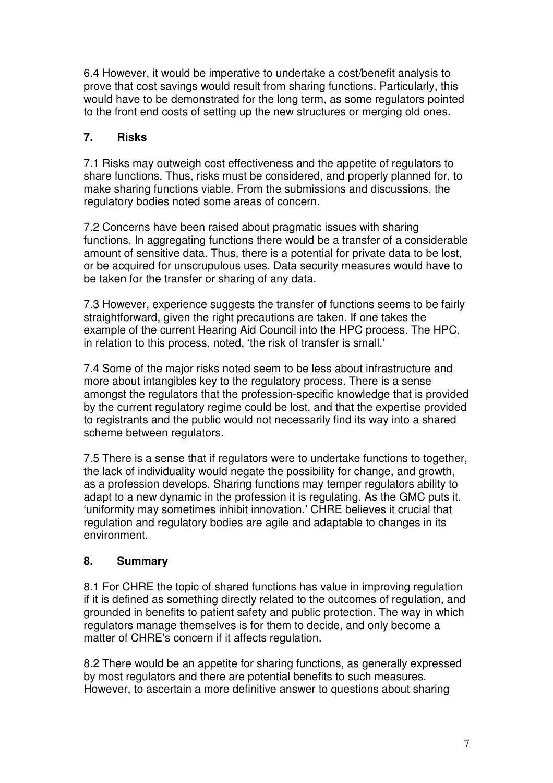6.4 However, it would be imperative to undertake a cost/benefit analysis to prove that cost savings would result from sharing functions. Particularly, this would have to be demonstrated for the long term, as some regulators pointed to the front end costs of setting up the new structures or merging old ones.

## **7. Risks**

7.1 Risks may outweigh cost effectiveness and the appetite of regulators to share functions. Thus, risks must be considered, and properly planned for, to make sharing functions viable. From the submissions and discussions, the regulatory bodies noted some areas of concern.

7.2 Concerns have been raised about pragmatic issues with sharing functions. In aggregating functions there would be a transfer of a considerable amount of sensitive data. Thus, there is a potential for private data to be lost, or be acquired for unscrupulous uses. Data security measures would have to be taken for the transfer or sharing of any data.

7.3 However, experience suggests the transfer of functions seems to be fairly straightforward, given the right precautions are taken. If one takes the example of the current Hearing Aid Council into the HPC process. The HPC, in relation to this process, noted, 'the risk of transfer is small.'

7.4 Some of the major risks noted seem to be less about infrastructure and more about intangibles key to the regulatory process. There is a sense amongst the regulators that the profession-specific knowledge that is provided by the current regulatory regime could be lost, and that the expertise provided to registrants and the public would not necessarily find its way into a shared scheme between regulators.

7.5 There is a sense that if regulators were to undertake functions to together, the lack of individuality would negate the possibility for change, and growth, as a profession develops. Sharing functions may temper regulators ability to adapt to a new dynamic in the profession it is regulating. As the GMC puts it, 'uniformity may sometimes inhibit innovation.' CHRE believes it crucial that regulation and regulatory bodies are agile and adaptable to changes in its environment.

#### **8. Summary**

8.1 For CHRE the topic of shared functions has value in improving regulation if it is defined as something directly related to the outcomes of regulation, and grounded in benefits to patient safety and public protection. The way in which regulators manage themselves is for them to decide, and only become a matter of CHRE's concern if it affects regulation.

8.2 There would be an appetite for sharing functions, as generally expressed by most regulators and there are potential benefits to such measures. However, to ascertain a more definitive answer to questions about sharing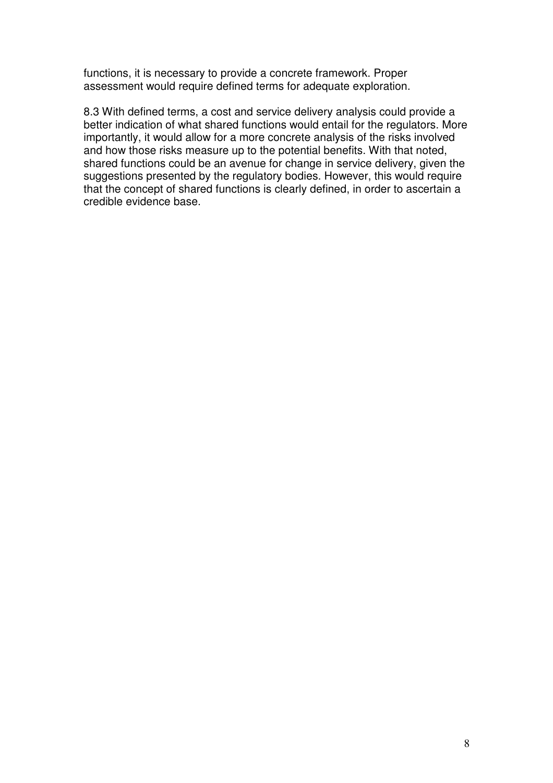functions, it is necessary to provide a concrete framework. Proper assessment would require defined terms for adequate exploration.

8.3 With defined terms, a cost and service delivery analysis could provide a better indication of what shared functions would entail for the regulators. More importantly, it would allow for a more concrete analysis of the risks involved and how those risks measure up to the potential benefits. With that noted, shared functions could be an avenue for change in service delivery, given the suggestions presented by the regulatory bodies. However, this would require that the concept of shared functions is clearly defined, in order to ascertain a credible evidence base.